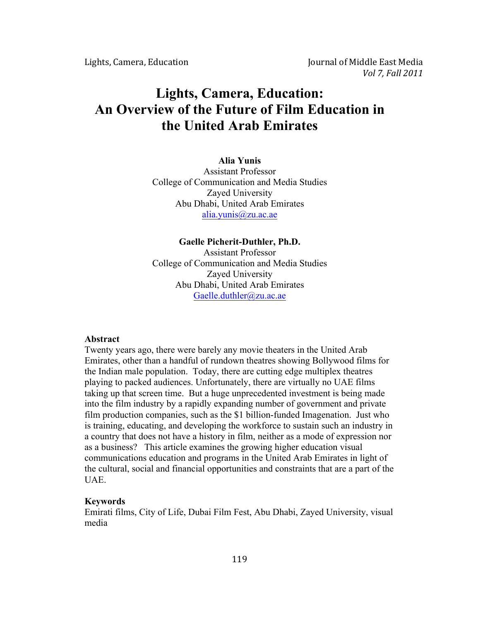# **Lights, Camera, Education: An Overview of the Future of Film Education in the United Arab Emirates**

#### **Alia Yunis**

Assistant Professor College of Communication and Media Studies Zayed University Abu Dhabi, United Arab Emirates alia.yunis@zu.ac.ae

# **Gaelle Picherit-Duthler, Ph.D.** Assistant Professor College of Communication and Media Studies Zayed University Abu Dhabi, United Arab Emirates Gaelle.duthler@zu.ac.ae

#### **Abstract**

Twenty years ago, there were barely any movie theaters in the United Arab Emirates, other than a handful of rundown theatres showing Bollywood films for the Indian male population. Today, there are cutting edge multiplex theatres playing to packed audiences. Unfortunately, there are virtually no UAE films taking up that screen time. But a huge unprecedented investment is being made into the film industry by a rapidly expanding number of government and private film production companies, such as the \$1 billion-funded Imagenation. Just who is training, educating, and developing the workforce to sustain such an industry in a country that does not have a history in film, neither as a mode of expression nor as a business? This article examines the growing higher education visual communications education and programs in the United Arab Emirates in light of the cultural, social and financial opportunities and constraints that are a part of the UAE.

### **Keywords**

Emirati films, City of Life, Dubai Film Fest, Abu Dhabi, Zayed University, visual media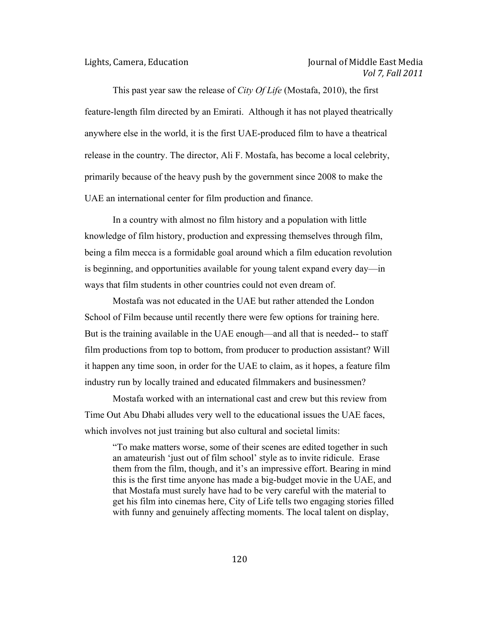This past year saw the release of *City Of Life* (Mostafa, 2010), the first feature-length film directed by an Emirati. Although it has not played theatrically anywhere else in the world, it is the first UAE-produced film to have a theatrical release in the country. The director, Ali F. Mostafa, has become a local celebrity, primarily because of the heavy push by the government since 2008 to make the UAE an international center for film production and finance.

In a country with almost no film history and a population with little knowledge of film history, production and expressing themselves through film, being a film mecca is a formidable goal around which a film education revolution is beginning, and opportunities available for young talent expand every day—in ways that film students in other countries could not even dream of.

Mostafa was not educated in the UAE but rather attended the London School of Film because until recently there were few options for training here. But is the training available in the UAE enough—and all that is needed-- to staff film productions from top to bottom, from producer to production assistant? Will it happen any time soon, in order for the UAE to claim, as it hopes, a feature film industry run by locally trained and educated filmmakers and businessmen?

Mostafa worked with an international cast and crew but this review from Time Out Abu Dhabi alludes very well to the educational issues the UAE faces, which involves not just training but also cultural and societal limits:

"To make matters worse, some of their scenes are edited together in such an amateurish 'just out of film school' style as to invite ridicule. Erase them from the film, though, and it's an impressive effort. Bearing in mind this is the first time anyone has made a big-budget movie in the UAE, and that Mostafa must surely have had to be very careful with the material to get his film into cinemas here, City of Life tells two engaging stories filled with funny and genuinely affecting moments. The local talent on display,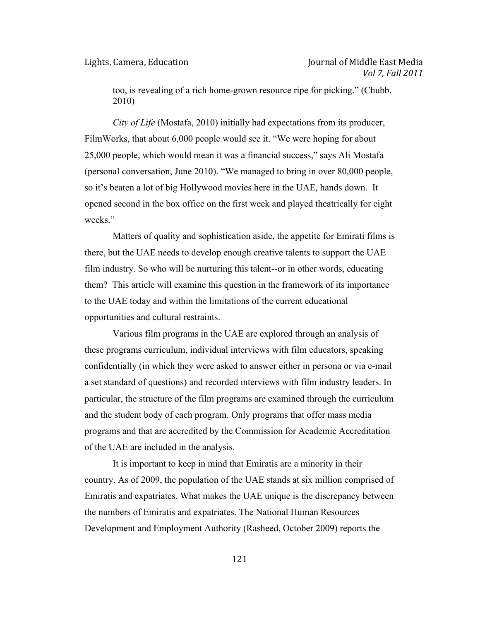too, is revealing of a rich home-grown resource ripe for picking." (Chubb, 2010)

*City of Life* (Mostafa, 2010) initially had expectations from its producer, FilmWorks, that about 6,000 people would see it. "We were hoping for about 25,000 people, which would mean it was a financial success," says Ali Mostafa (personal conversation, June 2010). "We managed to bring in over 80,000 people, so it's beaten a lot of big Hollywood movies here in the UAE, hands down. It opened second in the box office on the first week and played theatrically for eight weeks."

Matters of quality and sophistication aside, the appetite for Emirati films is there, but the UAE needs to develop enough creative talents to support the UAE film industry. So who will be nurturing this talent--or in other words, educating them? This article will examine this question in the framework of its importance to the UAE today and within the limitations of the current educational opportunities and cultural restraints.

Various film programs in the UAE are explored through an analysis of these programs curriculum, individual interviews with film educators, speaking confidentially (in which they were asked to answer either in persona or via e-mail a set standard of questions) and recorded interviews with film industry leaders. In particular, the structure of the film programs are examined through the curriculum and the student body of each program. Only programs that offer mass media programs and that are accredited by the Commission for Academic Accreditation of the UAE are included in the analysis.

It is important to keep in mind that Emiratis are a minority in their country. As of 2009, the population of the UAE stands at six million comprised of Emiratis and expatriates. What makes the UAE unique is the discrepancy between the numbers of Emiratis and expatriates. The National Human Resources Development and Employment Authority (Rasheed, October 2009) reports the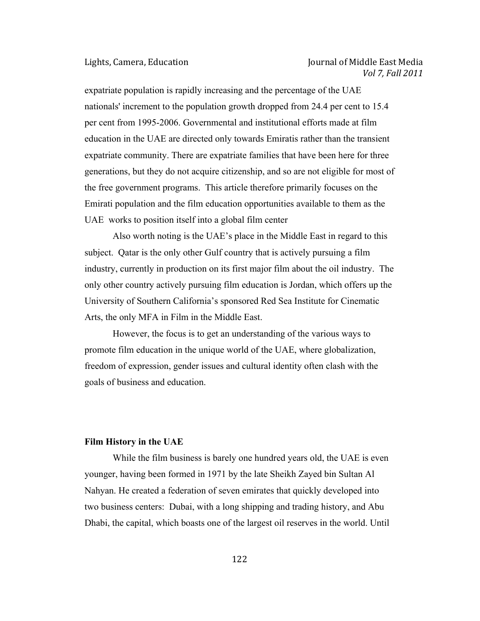expatriate population is rapidly increasing and the percentage of the UAE nationals' increment to the population growth dropped from 24.4 per cent to 15.4 per cent from 1995-2006. Governmental and institutional efforts made at film education in the UAE are directed only towards Emiratis rather than the transient expatriate community. There are expatriate families that have been here for three generations, but they do not acquire citizenship, and so are not eligible for most of the free government programs. This article therefore primarily focuses on the Emirati population and the film education opportunities available to them as the UAE works to position itself into a global film center

Also worth noting is the UAE's place in the Middle East in regard to this subject. Qatar is the only other Gulf country that is actively pursuing a film industry, currently in production on its first major film about the oil industry. The only other country actively pursuing film education is Jordan, which offers up the University of Southern California's sponsored Red Sea Institute for Cinematic Arts, the only MFA in Film in the Middle East.

However, the focus is to get an understanding of the various ways to promote film education in the unique world of the UAE, where globalization, freedom of expression, gender issues and cultural identity often clash with the goals of business and education.

### **Film History in the UAE**

While the film business is barely one hundred years old, the UAE is even younger, having been formed in 1971 by the late Sheikh Zayed bin Sultan Al Nahyan. He created a federation of seven emirates that quickly developed into two business centers: Dubai, with a long shipping and trading history, and Abu Dhabi, the capital, which boasts one of the largest oil reserves in the world. Until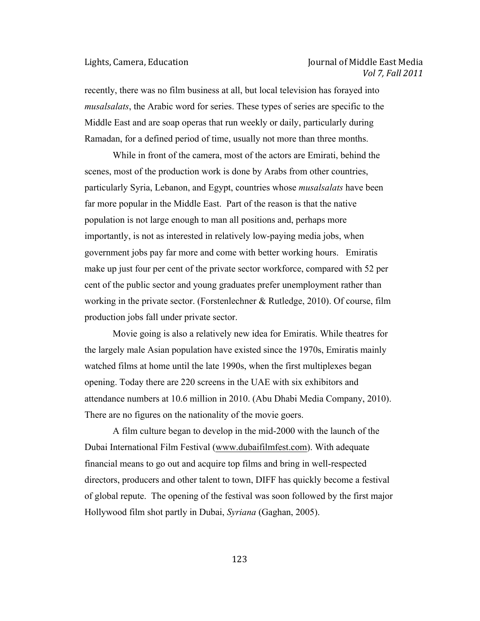# Lights, Camera, Education **Journal** Cournal of Middle East Media *Vol 7, Fall 2011*

recently, there was no film business at all, but local television has forayed into *musalsalats*, the Arabic word for series. These types of series are specific to the Middle East and are soap operas that run weekly or daily, particularly during Ramadan, for a defined period of time, usually not more than three months.

While in front of the camera, most of the actors are Emirati, behind the scenes, most of the production work is done by Arabs from other countries, particularly Syria, Lebanon, and Egypt, countries whose *musalsalats* have been far more popular in the Middle East. Part of the reason is that the native population is not large enough to man all positions and, perhaps more importantly, is not as interested in relatively low-paying media jobs, when government jobs pay far more and come with better working hours. Emiratis make up just four per cent of the private sector workforce, compared with 52 per cent of the public sector and young graduates prefer unemployment rather than working in the private sector. (Forstenlechner & Rutledge, 2010). Of course, film production jobs fall under private sector.

Movie going is also a relatively new idea for Emiratis. While theatres for the largely male Asian population have existed since the 1970s, Emiratis mainly watched films at home until the late 1990s, when the first multiplexes began opening. Today there are 220 screens in the UAE with six exhibitors and attendance numbers at 10.6 million in 2010. (Abu Dhabi Media Company, 2010). There are no figures on the nationality of the movie goers.

A film culture began to develop in the mid-2000 with the launch of the Dubai International Film Festival (www.dubaifilmfest.com). With adequate financial means to go out and acquire top films and bring in well-respected directors, producers and other talent to town, DIFF has quickly become a festival of global repute. The opening of the festival was soon followed by the first major Hollywood film shot partly in Dubai, *Syriana* (Gaghan, 2005).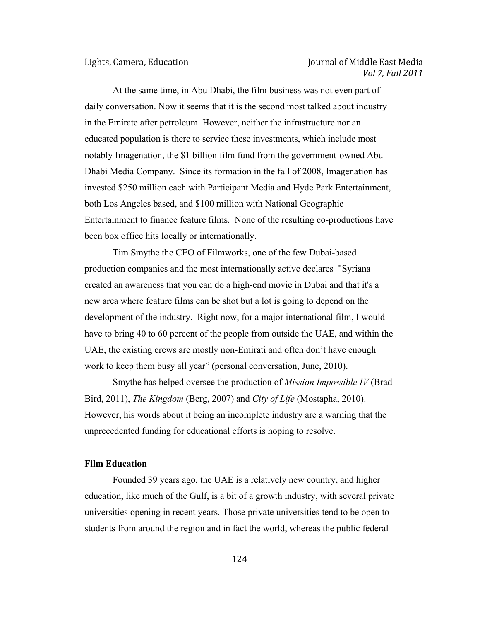# Lights, Camera, Education **Journal** Lights, Camera, Education **Journal** of Middle East Media *Vol 7, Fall 2011*

At the same time, in Abu Dhabi, the film business was not even part of daily conversation. Now it seems that it is the second most talked about industry in the Emirate after petroleum. However, neither the infrastructure nor an educated population is there to service these investments, which include most notably Imagenation, the \$1 billion film fund from the government-owned Abu Dhabi Media Company. Since its formation in the fall of 2008, Imagenation has invested \$250 million each with Participant Media and Hyde Park Entertainment, both Los Angeles based, and \$100 million with National Geographic Entertainment to finance feature films. None of the resulting co-productions have been box office hits locally or internationally.

Tim Smythe the CEO of Filmworks, one of the few Dubai-based production companies and the most internationally active declares "Syriana created an awareness that you can do a high-end movie in Dubai and that it's a new area where feature films can be shot but a lot is going to depend on the development of the industry. Right now, for a major international film, I would have to bring 40 to 60 percent of the people from outside the UAE, and within the UAE, the existing crews are mostly non-Emirati and often don't have enough work to keep them busy all year" (personal conversation, June, 2010).

Smythe has helped oversee the production of *Mission Impossible IV* (Brad Bird, 2011), *The Kingdom* (Berg, 2007) and *City of Life* (Mostapha, 2010). However, his words about it being an incomplete industry are a warning that the unprecedented funding for educational efforts is hoping to resolve.

### **Film Education**

Founded 39 years ago, the UAE is a relatively new country, and higher education, like much of the Gulf, is a bit of a growth industry, with several private universities opening in recent years. Those private universities tend to be open to students from around the region and in fact the world, whereas the public federal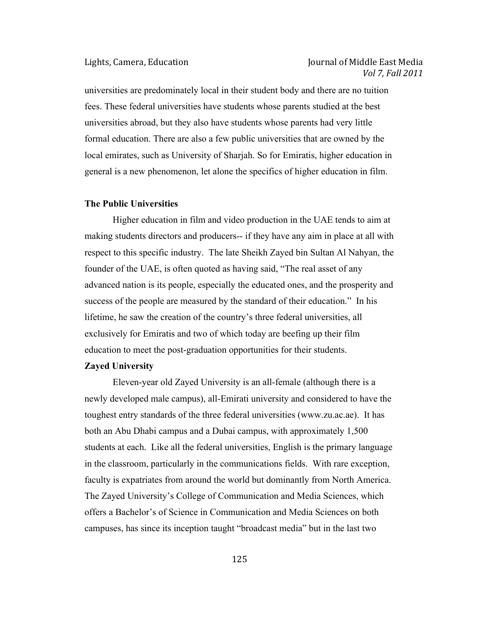# Lights, Camera, Education **Journal** Cournal of Middle East Media *Vol 7, Fall 2011*

universities are predominately local in their student body and there are no tuition fees. These federal universities have students whose parents studied at the best universities abroad, but they also have students whose parents had very little formal education. There are also a few public universities that are owned by the local emirates, such as University of Sharjah. So for Emiratis, higher education in general is a new phenomenon, let alone the specifics of higher education in film.

# **The Public Universities**

Higher education in film and video production in the UAE tends to aim at making students directors and producers-- if they have any aim in place at all with respect to this specific industry. The late Sheikh Zayed bin Sultan Al Nahyan, the founder of the UAE, is often quoted as having said, "The real asset of any advanced nation is its people, especially the educated ones, and the prosperity and success of the people are measured by the standard of their education." In his lifetime, he saw the creation of the country's three federal universities, all exclusively for Emiratis and two of which today are beefing up their film education to meet the post-graduation opportunities for their students.

### **Zayed University**

Eleven-year old Zayed University is an all-female (although there is a newly developed male campus), all-Emirati university and considered to have the toughest entry standards of the three federal universities (www.zu.ac.ae). It has both an Abu Dhabi campus and a Dubai campus, with approximately 1,500 students at each. Like all the federal universities, English is the primary language in the classroom, particularly in the communications fields. With rare exception, faculty is expatriates from around the world but dominantly from North America. The Zayed University's College of Communication and Media Sciences, which offers a Bachelor's of Science in Communication and Media Sciences on both campuses, has since its inception taught "broadcast media" but in the last two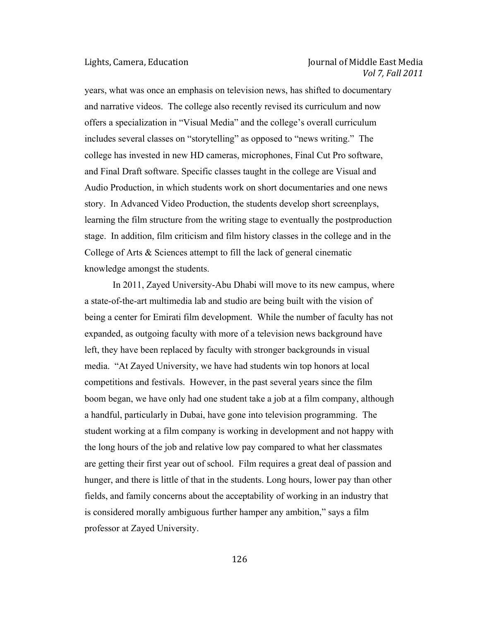# Lights, Camera, Education **Journal** Cournal of Middle East Media *Vol 7, Fall 2011*

years, what was once an emphasis on television news, has shifted to documentary and narrative videos. The college also recently revised its curriculum and now offers a specialization in "Visual Media" and the college's overall curriculum includes several classes on "storytelling" as opposed to "news writing." The college has invested in new HD cameras, microphones, Final Cut Pro software, and Final Draft software. Specific classes taught in the college are Visual and Audio Production, in which students work on short documentaries and one news story. In Advanced Video Production, the students develop short screenplays, learning the film structure from the writing stage to eventually the postproduction stage. In addition, film criticism and film history classes in the college and in the College of Arts & Sciences attempt to fill the lack of general cinematic knowledge amongst the students.

In 2011, Zayed University-Abu Dhabi will move to its new campus, where a state-of-the-art multimedia lab and studio are being built with the vision of being a center for Emirati film development. While the number of faculty has not expanded, as outgoing faculty with more of a television news background have left, they have been replaced by faculty with stronger backgrounds in visual media. "At Zayed University, we have had students win top honors at local competitions and festivals. However, in the past several years since the film boom began, we have only had one student take a job at a film company, although a handful, particularly in Dubai, have gone into television programming. The student working at a film company is working in development and not happy with the long hours of the job and relative low pay compared to what her classmates are getting their first year out of school. Film requires a great deal of passion and hunger, and there is little of that in the students. Long hours, lower pay than other fields, and family concerns about the acceptability of working in an industry that is considered morally ambiguous further hamper any ambition," says a film professor at Zayed University.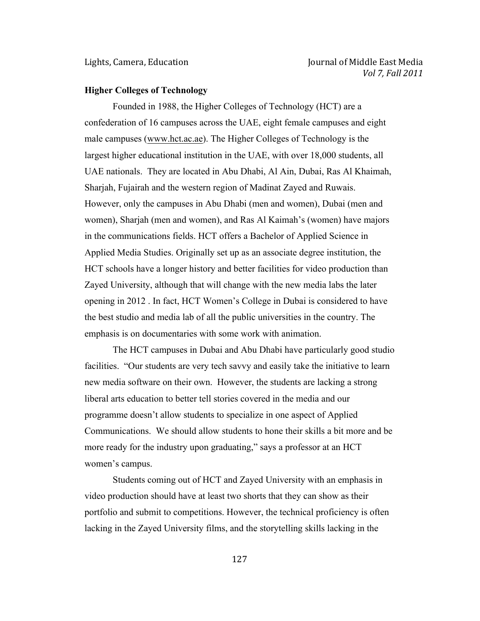#### **Higher Colleges of Technology**

Founded in 1988, the Higher Colleges of Technology (HCT) are a confederation of 16 campuses across the UAE, eight female campuses and eight male campuses (www.hct.ac.ae). The Higher Colleges of Technology is the largest higher educational institution in the UAE, with over 18,000 students, all UAE nationals. They are located in Abu Dhabi, Al Ain, Dubai, Ras Al Khaimah, Sharjah, Fujairah and the western region of Madinat Zayed and Ruwais. However, only the campuses in Abu Dhabi (men and women), Dubai (men and women), Sharjah (men and women), and Ras Al Kaimah's (women) have majors in the communications fields. HCT offers a Bachelor of Applied Science in Applied Media Studies. Originally set up as an associate degree institution, the HCT schools have a longer history and better facilities for video production than Zayed University, although that will change with the new media labs the later opening in 2012 . In fact, HCT Women's College in Dubai is considered to have the best studio and media lab of all the public universities in the country. The emphasis is on documentaries with some work with animation.

The HCT campuses in Dubai and Abu Dhabi have particularly good studio facilities. "Our students are very tech savvy and easily take the initiative to learn new media software on their own. However, the students are lacking a strong liberal arts education to better tell stories covered in the media and our programme doesn't allow students to specialize in one aspect of Applied Communications. We should allow students to hone their skills a bit more and be more ready for the industry upon graduating," says a professor at an HCT women's campus.

Students coming out of HCT and Zayed University with an emphasis in video production should have at least two shorts that they can show as their portfolio and submit to competitions. However, the technical proficiency is often lacking in the Zayed University films, and the storytelling skills lacking in the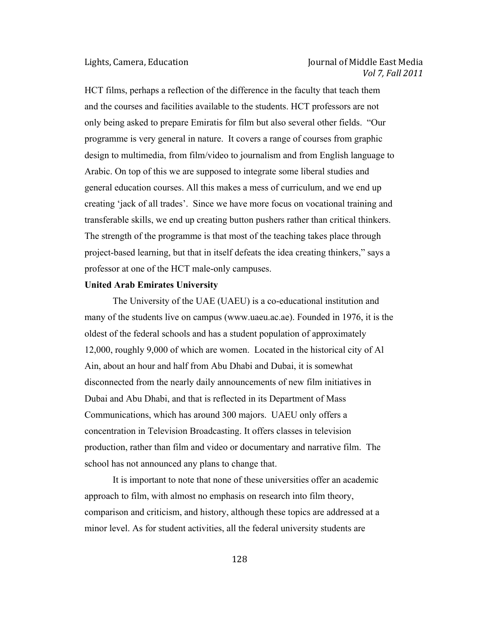HCT films, perhaps a reflection of the difference in the faculty that teach them and the courses and facilities available to the students. HCT professors are not only being asked to prepare Emiratis for film but also several other fields. "Our programme is very general in nature. It covers a range of courses from graphic design to multimedia, from film/video to journalism and from English language to Arabic. On top of this we are supposed to integrate some liberal studies and general education courses. All this makes a mess of curriculum, and we end up creating 'jack of all trades'. Since we have more focus on vocational training and transferable skills, we end up creating button pushers rather than critical thinkers. The strength of the programme is that most of the teaching takes place through project-based learning, but that in itself defeats the idea creating thinkers," says a professor at one of the HCT male-only campuses.

#### **United Arab Emirates University**

The University of the UAE (UAEU) is a co-educational institution and many of the students live on campus (www.uaeu.ac.ae). Founded in 1976, it is the oldest of the federal schools and has a student population of approximately 12,000, roughly 9,000 of which are women. Located in the historical city of Al Ain, about an hour and half from Abu Dhabi and Dubai, it is somewhat disconnected from the nearly daily announcements of new film initiatives in Dubai and Abu Dhabi, and that is reflected in its Department of Mass Communications, which has around 300 majors. UAEU only offers a concentration in Television Broadcasting. It offers classes in television production, rather than film and video or documentary and narrative film. The school has not announced any plans to change that.

It is important to note that none of these universities offer an academic approach to film, with almost no emphasis on research into film theory, comparison and criticism, and history, although these topics are addressed at a minor level. As for student activities, all the federal university students are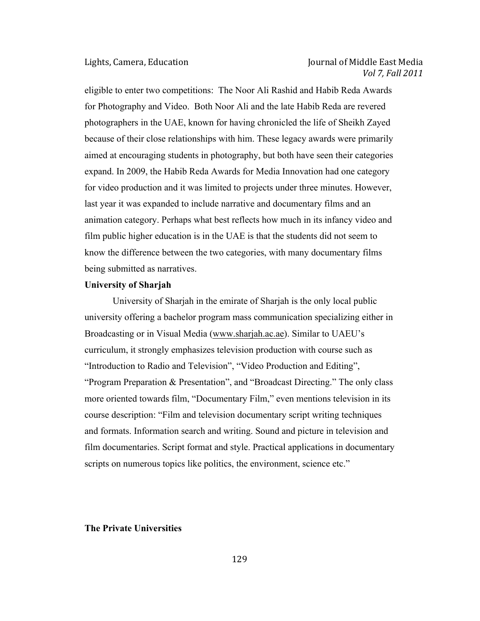eligible to enter two competitions: The Noor Ali Rashid and Habib Reda Awards for Photography and Video. Both Noor Ali and the late Habib Reda are revered photographers in the UAE, known for having chronicled the life of Sheikh Zayed because of their close relationships with him. These legacy awards were primarily aimed at encouraging students in photography, but both have seen their categories expand. In 2009, the Habib Reda Awards for Media Innovation had one category for video production and it was limited to projects under three minutes. However, last year it was expanded to include narrative and documentary films and an animation category. Perhaps what best reflects how much in its infancy video and film public higher education is in the UAE is that the students did not seem to know the difference between the two categories, with many documentary films being submitted as narratives.

### **University of Sharjah**

University of Sharjah in the emirate of Sharjah is the only local public university offering a bachelor program mass communication specializing either in Broadcasting or in Visual Media (www.sharjah.ac.ae). Similar to UAEU's curriculum, it strongly emphasizes television production with course such as "Introduction to Radio and Television", "Video Production and Editing", "Program Preparation & Presentation", and "Broadcast Directing." The only class more oriented towards film, "Documentary Film," even mentions television in its course description: "Film and television documentary script writing techniques and formats. Information search and writing. Sound and picture in television and film documentaries. Script format and style. Practical applications in documentary scripts on numerous topics like politics, the environment, science etc."

#### **The Private Universities**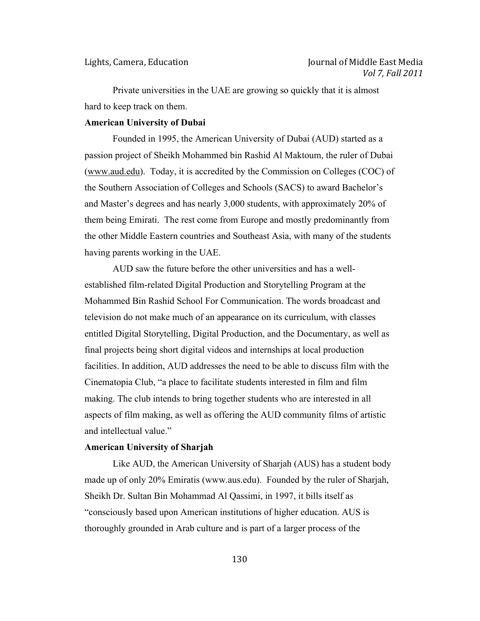Private universities in the UAE are growing so quickly that it is almost hard to keep track on them.

### **American University of Dubai**

Founded in 1995, the American University of Dubai (AUD) started as a passion project of Sheikh Mohammed bin Rashid Al Maktoum, the ruler of Dubai (www.aud.edu). Today, it is accredited by the Commission on Colleges (COC) of the Southern Association of Colleges and Schools (SACS) to award Bachelor's and Master's degrees and has nearly 3,000 students, with approximately 20% of them being Emirati. The rest come from Europe and mostly predominantly from the other Middle Eastern countries and Southeast Asia, with many of the students having parents working in the UAE.

AUD saw the future before the other universities and has a wellestablished film-related Digital Production and Storytelling Program at the Mohammed Bin Rashid School For Communication. The words broadcast and television do not make much of an appearance on its curriculum, with classes entitled Digital Storytelling, Digital Production, and the Documentary, as well as final projects being short digital videos and internships at local production facilities. In addition, AUD addresses the need to be able to discuss film with the Cinematopia Club, "a place to facilitate students interested in film and film making. The club intends to bring together students who are interested in all aspects of film making, as well as offering the AUD community films of artistic and intellectual value."

#### **American University of Sharjah**

Like AUD, the American University of Sharjah (AUS) has a student body made up of only 20% Emiratis (www.aus.edu). Founded by the ruler of Sharjah, Sheikh Dr. Sultan Bin Mohammad Al Qassimi, in 1997, it bills itself as "consciously based upon American institutions of higher education. AUS is thoroughly grounded in Arab culture and is part of a larger process of the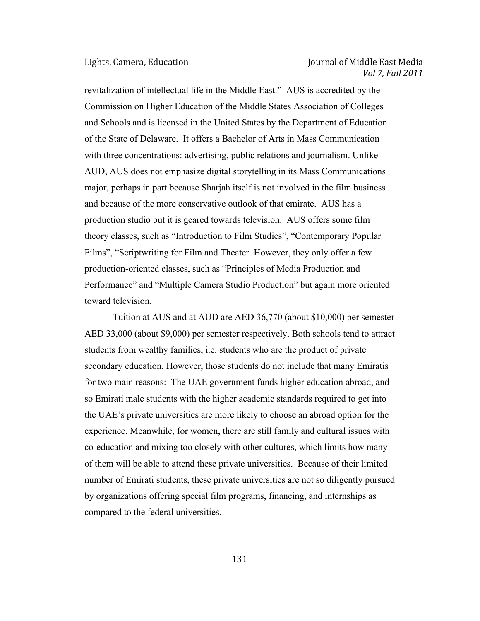# Lights, Camera, Education **Journal** Cournal of Middle East Media *Vol 7, Fall 2011*

revitalization of intellectual life in the Middle East." AUS is accredited by the Commission on Higher Education of the Middle States Association of Colleges and Schools and is licensed in the United States by the Department of Education of the State of Delaware. It offers a Bachelor of Arts in Mass Communication with three concentrations: advertising, public relations and journalism. Unlike AUD, AUS does not emphasize digital storytelling in its Mass Communications major, perhaps in part because Sharjah itself is not involved in the film business and because of the more conservative outlook of that emirate. AUS has a production studio but it is geared towards television. AUS offers some film theory classes, such as "Introduction to Film Studies", "Contemporary Popular Films", "Scriptwriting for Film and Theater. However, they only offer a few production-oriented classes, such as "Principles of Media Production and Performance" and "Multiple Camera Studio Production" but again more oriented toward television.

Tuition at AUS and at AUD are AED 36,770 (about \$10,000) per semester AED 33,000 (about \$9,000) per semester respectively. Both schools tend to attract students from wealthy families, i.e. students who are the product of private secondary education. However, those students do not include that many Emiratis for two main reasons: The UAE government funds higher education abroad, and so Emirati male students with the higher academic standards required to get into the UAE's private universities are more likely to choose an abroad option for the experience. Meanwhile, for women, there are still family and cultural issues with co-education and mixing too closely with other cultures, which limits how many of them will be able to attend these private universities. Because of their limited number of Emirati students, these private universities are not so diligently pursued by organizations offering special film programs, financing, and internships as compared to the federal universities.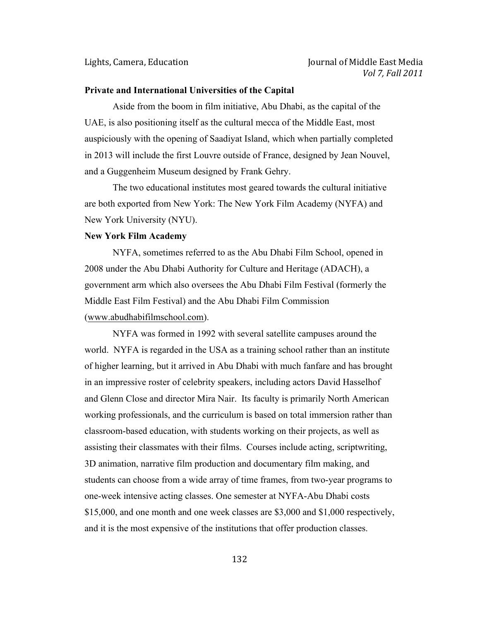#### **Private and International Universities of the Capital**

Aside from the boom in film initiative, Abu Dhabi, as the capital of the UAE, is also positioning itself as the cultural mecca of the Middle East, most auspiciously with the opening of Saadiyat Island, which when partially completed in 2013 will include the first Louvre outside of France, designed by Jean Nouvel, and a Guggenheim Museum designed by Frank Gehry.

The two educational institutes most geared towards the cultural initiative are both exported from New York: The New York Film Academy (NYFA) and New York University (NYU).

#### **New York Film Academy**

NYFA, sometimes referred to as the Abu Dhabi Film School, opened in 2008 under the Abu Dhabi Authority for Culture and Heritage (ADACH), a government arm which also oversees the Abu Dhabi Film Festival (formerly the Middle East Film Festival) and the Abu Dhabi Film Commission (www.abudhabifilmschool.com).

NYFA was formed in 1992 with several satellite campuses around the world. NYFA is regarded in the USA as a training school rather than an institute of higher learning, but it arrived in Abu Dhabi with much fanfare and has brought in an impressive roster of celebrity speakers, including actors David Hasselhof and Glenn Close and director Mira Nair. Its faculty is primarily North American working professionals, and the curriculum is based on total immersion rather than classroom-based education, with students working on their projects, as well as assisting their classmates with their films. Courses include acting, scriptwriting, 3D animation, narrative film production and documentary film making, and students can choose from a wide array of time frames, from two-year programs to one-week intensive acting classes. One semester at NYFA-Abu Dhabi costs \$15,000, and one month and one week classes are \$3,000 and \$1,000 respectively, and it is the most expensive of the institutions that offer production classes.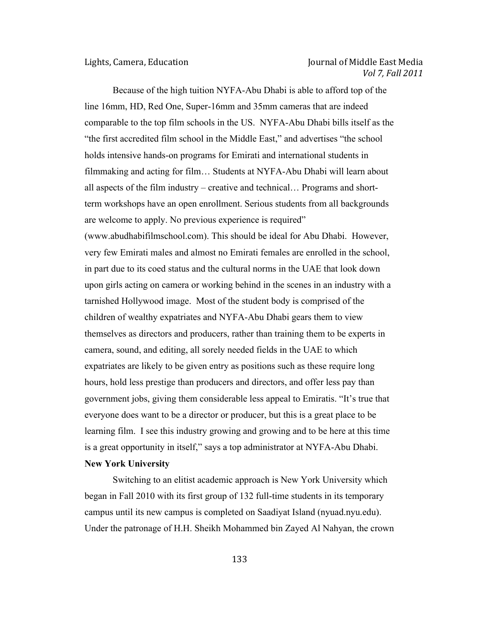Because of the high tuition NYFA-Abu Dhabi is able to afford top of the line 16mm, HD, Red One, Super-16mm and 35mm cameras that are indeed comparable to the top film schools in the US. NYFA-Abu Dhabi bills itself as the "the first accredited film school in the Middle East," and advertises "the school holds intensive hands-on programs for Emirati and international students in filmmaking and acting for film… Students at NYFA-Abu Dhabi will learn about all aspects of the film industry – creative and technical… Programs and shortterm workshops have an open enrollment. Serious students from all backgrounds are welcome to apply. No previous experience is required" (www.abudhabifilmschool.com). This should be ideal for Abu Dhabi. However, very few Emirati males and almost no Emirati females are enrolled in the school, in part due to its coed status and the cultural norms in the UAE that look down upon girls acting on camera or working behind in the scenes in an industry with a tarnished Hollywood image. Most of the student body is comprised of the children of wealthy expatriates and NYFA-Abu Dhabi gears them to view themselves as directors and producers, rather than training them to be experts in camera, sound, and editing, all sorely needed fields in the UAE to which expatriates are likely to be given entry as positions such as these require long hours, hold less prestige than producers and directors, and offer less pay than government jobs, giving them considerable less appeal to Emiratis. "It's true that everyone does want to be a director or producer, but this is a great place to be learning film. I see this industry growing and growing and to be here at this time is a great opportunity in itself," says a top administrator at NYFA-Abu Dhabi. **New York University**

Switching to an elitist academic approach is New York University which began in Fall 2010 with its first group of 132 full-time students in its temporary campus until its new campus is completed on Saadiyat Island (nyuad.nyu.edu). Under the patronage of H.H. Sheikh Mohammed bin Zayed Al Nahyan, the crown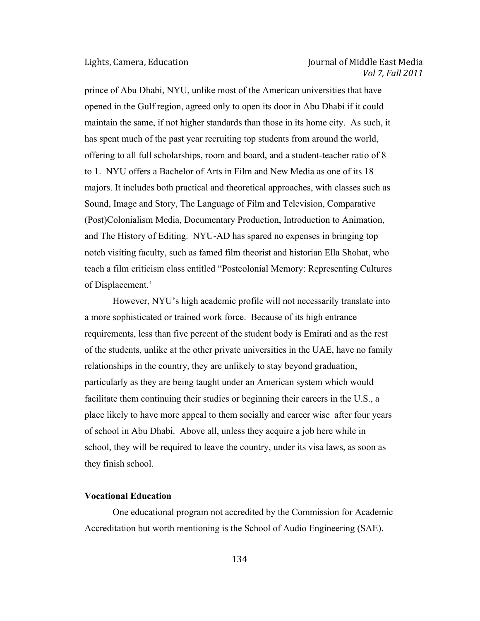prince of Abu Dhabi, NYU, unlike most of the American universities that have opened in the Gulf region, agreed only to open its door in Abu Dhabi if it could maintain the same, if not higher standards than those in its home city. As such, it has spent much of the past year recruiting top students from around the world, offering to all full scholarships, room and board, and a student-teacher ratio of 8 to 1. NYU offers a Bachelor of Arts in Film and New Media as one of its 18 majors. It includes both practical and theoretical approaches, with classes such as Sound, Image and Story, The Language of Film and Television, Comparative (Post)Colonialism Media, Documentary Production, Introduction to Animation, and The History of Editing. NYU-AD has spared no expenses in bringing top notch visiting faculty, such as famed film theorist and historian Ella Shohat, who teach a film criticism class entitled "Postcolonial Memory: Representing Cultures of Displacement.'

However, NYU's high academic profile will not necessarily translate into a more sophisticated or trained work force. Because of its high entrance requirements, less than five percent of the student body is Emirati and as the rest of the students, unlike at the other private universities in the UAE, have no family relationships in the country, they are unlikely to stay beyond graduation, particularly as they are being taught under an American system which would facilitate them continuing their studies or beginning their careers in the U.S., a place likely to have more appeal to them socially and career wise after four years of school in Abu Dhabi. Above all, unless they acquire a job here while in school, they will be required to leave the country, under its visa laws, as soon as they finish school.

#### **Vocational Education**

One educational program not accredited by the Commission for Academic Accreditation but worth mentioning is the School of Audio Engineering (SAE).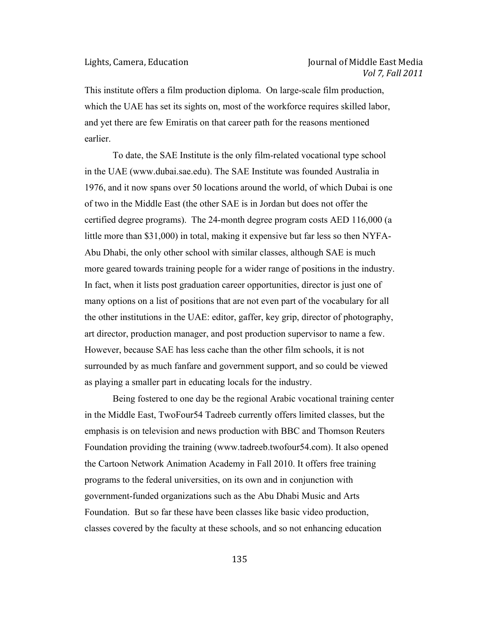This institute offers a film production diploma. On large-scale film production, which the UAE has set its sights on, most of the workforce requires skilled labor, and yet there are few Emiratis on that career path for the reasons mentioned earlier.

To date, the SAE Institute is the only film-related vocational type school in the UAE (www.dubai.sae.edu). The SAE Institute was founded Australia in 1976, and it now spans over 50 locations around the world, of which Dubai is one of two in the Middle East (the other SAE is in Jordan but does not offer the certified degree programs). The 24-month degree program costs AED 116,000 (a little more than \$31,000) in total, making it expensive but far less so then NYFA-Abu Dhabi, the only other school with similar classes, although SAE is much more geared towards training people for a wider range of positions in the industry. In fact, when it lists post graduation career opportunities, director is just one of many options on a list of positions that are not even part of the vocabulary for all the other institutions in the UAE: editor, gaffer, key grip, director of photography, art director, production manager, and post production supervisor to name a few. However, because SAE has less cache than the other film schools, it is not surrounded by as much fanfare and government support, and so could be viewed as playing a smaller part in educating locals for the industry.

Being fostered to one day be the regional Arabic vocational training center in the Middle East, TwoFour54 Tadreeb currently offers limited classes, but the emphasis is on television and news production with BBC and Thomson Reuters Foundation providing the training (www.tadreeb.twofour54.com). It also opened the Cartoon Network Animation Academy in Fall 2010. It offers free training programs to the federal universities, on its own and in conjunction with government-funded organizations such as the Abu Dhabi Music and Arts Foundation. But so far these have been classes like basic video production, classes covered by the faculty at these schools, and so not enhancing education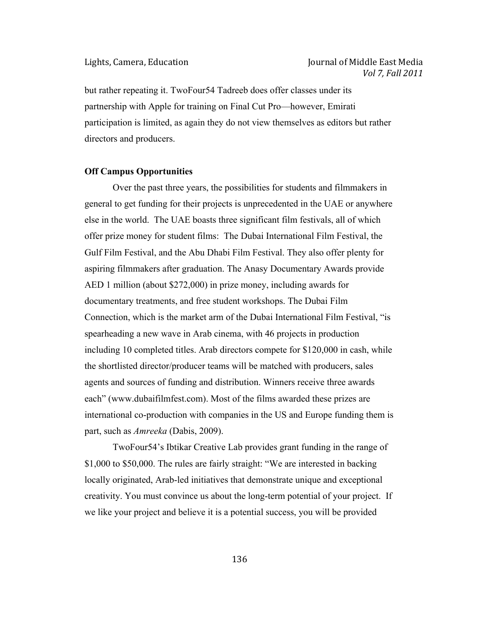but rather repeating it. TwoFour54 Tadreeb does offer classes under its partnership with Apple for training on Final Cut Pro—however, Emirati participation is limited, as again they do not view themselves as editors but rather directors and producers.

### **Off Campus Opportunities**

Over the past three years, the possibilities for students and filmmakers in general to get funding for their projects is unprecedented in the UAE or anywhere else in the world. The UAE boasts three significant film festivals, all of which offer prize money for student films: The Dubai International Film Festival, the Gulf Film Festival, and the Abu Dhabi Film Festival. They also offer plenty for aspiring filmmakers after graduation. The Anasy Documentary Awards provide AED 1 million (about \$272,000) in prize money, including awards for documentary treatments, and free student workshops. The Dubai Film Connection, which is the market arm of the Dubai International Film Festival, "is spearheading a new wave in Arab cinema, with 46 projects in production including 10 completed titles. Arab directors compete for \$120,000 in cash, while the shortlisted director/producer teams will be matched with producers, sales agents and sources of funding and distribution. Winners receive three awards each" (www.dubaifilmfest.com). Most of the films awarded these prizes are international co-production with companies in the US and Europe funding them is part, such as *Amreeka* (Dabis, 2009).

TwoFour54's Ibtikar Creative Lab provides grant funding in the range of \$1,000 to \$50,000. The rules are fairly straight: "We are interested in backing locally originated, Arab-led initiatives that demonstrate unique and exceptional creativity. You must convince us about the long-term potential of your project. If we like your project and believe it is a potential success, you will be provided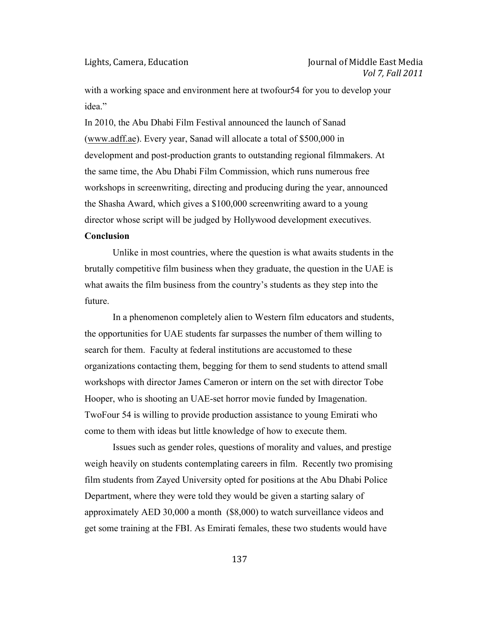with a working space and environment here at twofour54 for you to develop your idea<sup>"</sup>

In 2010, the Abu Dhabi Film Festival announced the launch of Sanad (www.adff.ae). Every year, Sanad will allocate a total of \$500,000 in development and post-production grants to outstanding regional filmmakers. At the same time, the Abu Dhabi Film Commission, which runs numerous free workshops in screenwriting, directing and producing during the year, announced the Shasha Award, which gives a \$100,000 screenwriting award to a young director whose script will be judged by Hollywood development executives.

# **Conclusion**

Unlike in most countries, where the question is what awaits students in the brutally competitive film business when they graduate, the question in the UAE is what awaits the film business from the country's students as they step into the future.

In a phenomenon completely alien to Western film educators and students, the opportunities for UAE students far surpasses the number of them willing to search for them. Faculty at federal institutions are accustomed to these organizations contacting them, begging for them to send students to attend small workshops with director James Cameron or intern on the set with director Tobe Hooper, who is shooting an UAE-set horror movie funded by Imagenation. TwoFour 54 is willing to provide production assistance to young Emirati who come to them with ideas but little knowledge of how to execute them.

Issues such as gender roles, questions of morality and values, and prestige weigh heavily on students contemplating careers in film. Recently two promising film students from Zayed University opted for positions at the Abu Dhabi Police Department, where they were told they would be given a starting salary of approximately AED 30,000 a month (\$8,000) to watch surveillance videos and get some training at the FBI. As Emirati females, these two students would have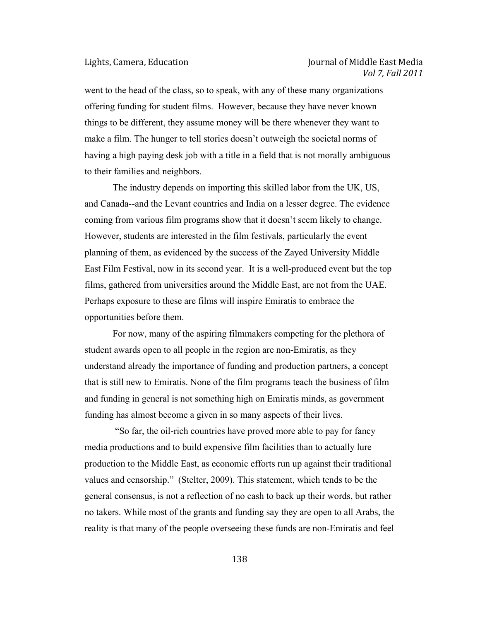went to the head of the class, so to speak, with any of these many organizations offering funding for student films. However, because they have never known things to be different, they assume money will be there whenever they want to make a film. The hunger to tell stories doesn't outweigh the societal norms of having a high paying desk job with a title in a field that is not morally ambiguous to their families and neighbors.

The industry depends on importing this skilled labor from the UK, US, and Canada--and the Levant countries and India on a lesser degree. The evidence coming from various film programs show that it doesn't seem likely to change. However, students are interested in the film festivals, particularly the event planning of them, as evidenced by the success of the Zayed University Middle East Film Festival, now in its second year. It is a well-produced event but the top films, gathered from universities around the Middle East, are not from the UAE. Perhaps exposure to these are films will inspire Emiratis to embrace the opportunities before them.

For now, many of the aspiring filmmakers competing for the plethora of student awards open to all people in the region are non-Emiratis, as they understand already the importance of funding and production partners, a concept that is still new to Emiratis. None of the film programs teach the business of film and funding in general is not something high on Emiratis minds, as government funding has almost become a given in so many aspects of their lives.

"So far, the oil-rich countries have proved more able to pay for fancy media productions and to build expensive film facilities than to actually lure production to the Middle East, as economic efforts run up against their traditional values and censorship." (Stelter, 2009). This statement, which tends to be the general consensus, is not a reflection of no cash to back up their words, but rather no takers. While most of the grants and funding say they are open to all Arabs, the reality is that many of the people overseeing these funds are non-Emiratis and feel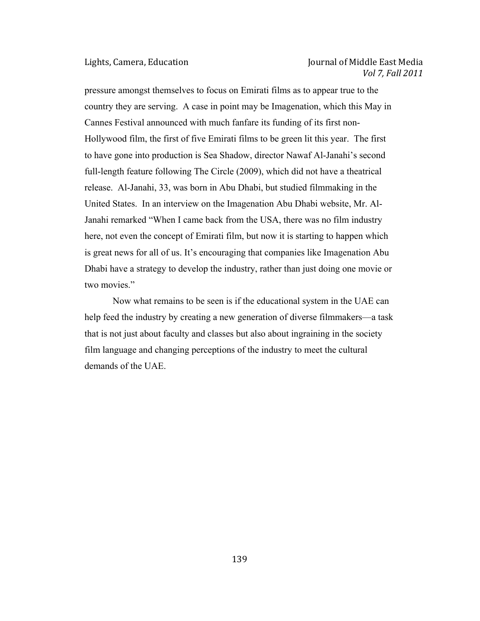# Lights, Camera, Education **Internal in the Contract Contract Oriental** Journal of Middle East Media *Vol 7, Fall 2011*

pressure amongst themselves to focus on Emirati films as to appear true to the country they are serving. A case in point may be Imagenation, which this May in Cannes Festival announced with much fanfare its funding of its first non-Hollywood film, the first of five Emirati films to be green lit this year. The first to have gone into production is Sea Shadow, director Nawaf Al-Janahi's second full-length feature following The Circle (2009), which did not have a theatrical release. Al-Janahi, 33, was born in Abu Dhabi, but studied filmmaking in the United States. In an interview on the Imagenation Abu Dhabi website, Mr. Al-Janahi remarked "When I came back from the USA, there was no film industry here, not even the concept of Emirati film, but now it is starting to happen which is great news for all of us. It's encouraging that companies like Imagenation Abu Dhabi have a strategy to develop the industry, rather than just doing one movie or two movies."

Now what remains to be seen is if the educational system in the UAE can help feed the industry by creating a new generation of diverse filmmakers—a task that is not just about faculty and classes but also about ingraining in the society film language and changing perceptions of the industry to meet the cultural demands of the UAE.